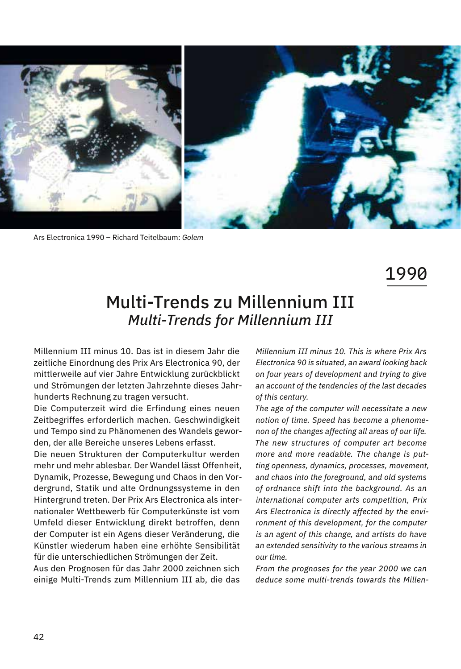

Ars Electronica 1990 – Richard Teitelbaum: *Golem*

1990

## Multi-Trends zu Millennium III *Multi-Trends for Millennium III*

Millennium III minus 10. Das ist in diesem Jahr die zeitliche Einordnung des Prix Ars Electronica 90, der mittlerweile auf vier Jahre Entwicklung zurückblickt und Strömungen der letzten Jahrzehnte dieses Jahrhunderts Rechnung zu tragen versucht.

Die Computerzeit wird die Erfindung eines neuen Zeitbegriffes erforderlich machen. Geschwindigkeit und Tempo sind zu Phänomenen des Wandels geworden, der alle Bereiche unseres Lebens erfasst.

Die neuen Strukturen der Computerkultur werden mehr und mehr ablesbar. Der Wandel lässt Offenheit, Dynamik, Prozesse, Bewegung und Chaos in den Vordergrund, Statik und alte Ordnungssysteme in den Hintergrund treten. Der Prix Ars Electronica als internationaler Wettbewerb für Computerkünste ist vom Umfeld dieser Entwicklung direkt betroffen, denn der Computer ist ein Agens dieser Veränderung, die Künstler wiederum haben eine erhöhte Sensibilität für die unterschiedlichen Strömungen der Zeit.

Aus den Prognosen für das Jahr 2000 zeichnen sich einige Multi-Trends zum Millennium III ab, die das

*Millennium III minus 10. This is where Prix Ars Electronica 90 is situated, an award looking back on four years of development and trying to give an account of the tendencies of the last decades of this century.*

*The age of the computer will necessitate a new notion of time. Speed has become a phenomenon of the changes affecting all areas of our life. The new structures of computer art become more and more readable. The change is putting openness, dynamics, processes, movement, and chaos into the foreground, and old systems of ordnance shift into the background. As an international computer arts competition, Prix Ars Electronica is directly affected by the environment of this development, for the computer is an agent of this change, and artists do have an extended sensitivity to the various streams in our time.*

*From the prognoses for the year 2000 we can deduce some multi-trends towards the Millen-*